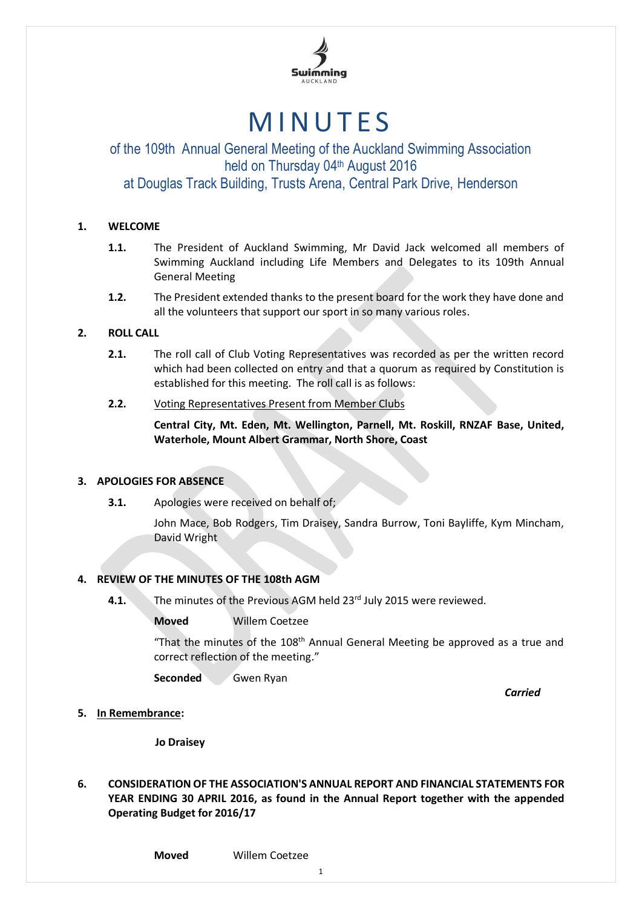

# **MINUTES**

## of the 109th Annual General Meeting of the Auckland Swimming Association held on Thursday 04th August 2016

### at Douglas Track Building, Trusts Arena, Central Park Drive, Henderson

#### **1. WELCOME**

- **1.1.** The President of Auckland Swimming, Mr David Jack welcomed all members of Swimming Auckland including Life Members and Delegates to its 109th Annual General Meeting
- **1.2.** The President extended thanks to the present board for the work they have done and all the volunteers that support our sport in so many various roles.

#### **2. ROLL CALL**

- **2.1.** The roll call of Club Voting Representatives was recorded as per the written record which had been collected on entry and that a quorum as required by Constitution is established for this meeting. The roll call is as follows:
- **2.2.** Voting Representatives Present from Member Clubs

**Central City, Mt. Eden, Mt. Wellington, Parnell, Mt. Roskill, RNZAF Base, United, Waterhole, Mount Albert Grammar, North Shore, Coast**

#### **3. APOLOGIES FOR ABSENCE**

**3.1.** Apologies were received on behalf of;

John Mace, Bob Rodgers, Tim Draisey, Sandra Burrow, Toni Bayliffe, Kym Mincham, David Wright

#### **4. REVIEW OF THE MINUTES OF THE 108th AGM**

- **4.1.** The minutes of the Previous AGM held 23<sup>rd</sup> July 2015 were reviewed.
	- **Moved** Willem Coetzee

"That the minutes of the 108<sup>th</sup> Annual General Meeting be approved as a true and correct reflection of the meeting."

**Seconded** Gwen Ryan

*Carried*

**5. In Remembrance:**

**Jo Draisey**

**6. CONSIDERATION OF THE ASSOCIATION'S ANNUAL REPORT AND FINANCIAL STATEMENTS FOR YEAR ENDING 30 APRIL 2016, as found in the Annual Report together with the appended Operating Budget for 2016/17**

**Moved** Willem Coetzee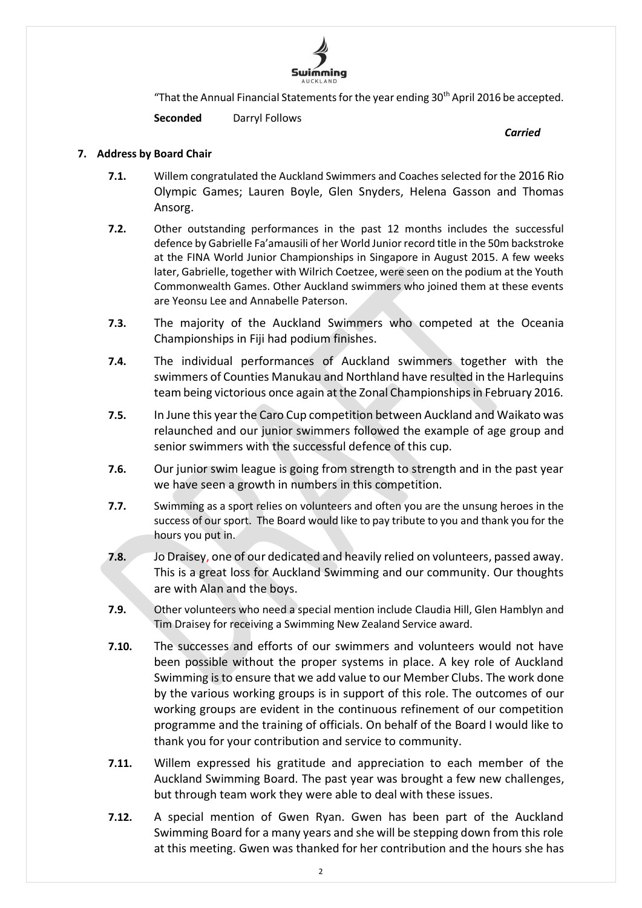

"That the Annual Financial Statements for the year ending 30th April 2016 be accepted.

**Seconded** Darryl Follows

*Carried*

#### **7. Address by Board Chair**

- **7.1.** Willem congratulated the Auckland Swimmers and Coaches selected for the 2016 Rio Olympic Games; Lauren Boyle, Glen Snyders, Helena Gasson and Thomas Ansorg.
- **7.2.** Other outstanding performances in the past 12 months includes the successful defence by Gabrielle Fa'amausili of her World Junior record title in the 50m backstroke at the FINA World Junior Championships in Singapore in August 2015. A few weeks later, Gabrielle, together with Wilrich Coetzee, were seen on the podium at the Youth Commonwealth Games. Other Auckland swimmers who joined them at these events are Yeonsu Lee and Annabelle Paterson.
- **7.3.** The majority of the Auckland Swimmers who competed at the Oceania Championships in Fiji had podium finishes.
- **7.4.** The individual performances of Auckland swimmers together with the swimmers of Counties Manukau and Northland have resulted in the Harlequins team being victorious once again at the Zonal Championships in February 2016.
- **7.5.** In June this year the Caro Cup competition between Auckland and Waikato was relaunched and our junior swimmers followed the example of age group and senior swimmers with the successful defence of this cup.
- **7.6.** Our junior swim league is going from strength to strength and in the past year we have seen a growth in numbers in this competition.
- **7.7.** Swimming as a sport relies on volunteers and often you are the unsung heroes in the success of our sport. The Board would like to pay tribute to you and thank you for the hours you put in.
- **7.8.** Jo Draisey, one of our dedicated and heavily relied on volunteers, passed away. This is a great loss for Auckland Swimming and our community. Our thoughts are with Alan and the boys.
- **7.9.** Other volunteers who need a special mention include Claudia Hill, Glen Hamblyn and Tim Draisey for receiving a Swimming New Zealand Service award.
- **7.10.** The successes and efforts of our swimmers and volunteers would not have been possible without the proper systems in place. A key role of Auckland Swimming is to ensure that we add value to our Member Clubs. The work done by the various working groups is in support of this role. The outcomes of our working groups are evident in the continuous refinement of our competition programme and the training of officials. On behalf of the Board I would like to thank you for your contribution and service to community.
- **7.11.** Willem expressed his gratitude and appreciation to each member of the Auckland Swimming Board. The past year was brought a few new challenges, but through team work they were able to deal with these issues.
- **7.12.** A special mention of Gwen Ryan. Gwen has been part of the Auckland Swimming Board for a many years and she will be stepping down from this role at this meeting. Gwen was thanked for her contribution and the hours she has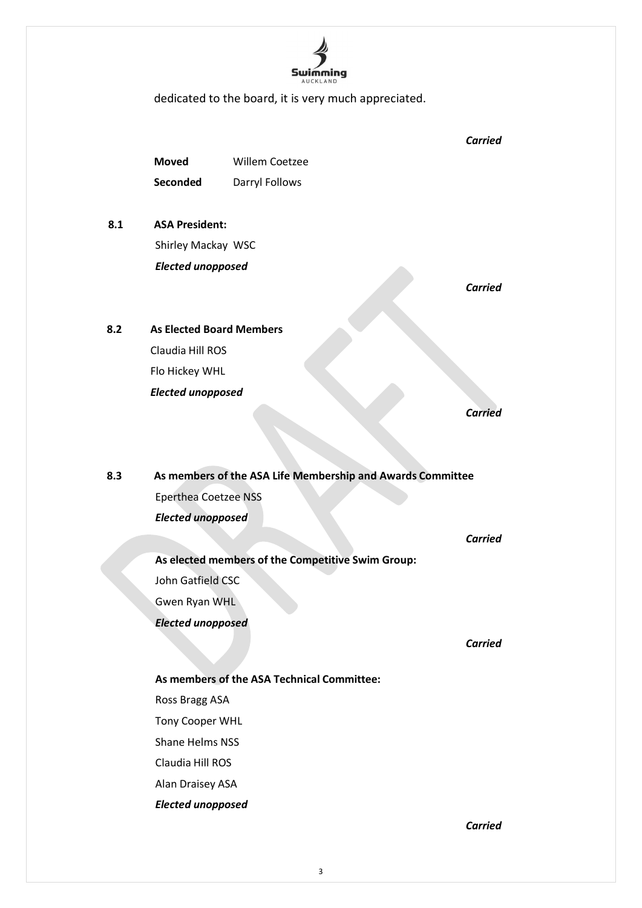

dedicated to the board, it is very much appreciated.

*Carried* **Moved** Willem Coetzee **Seconded** Darryl Follows **8.1 ASA President:** Shirley Mackay WSC *Elected unopposed Carried* **8.2 As Elected Board Members** Claudia Hill ROS Flo Hickey WHL *Elected unopposed Carried* **8.3 As members of the ASA Life Membership and Awards Committee** Eperthea Coetzee NSS *Elected unopposed Carried* **As elected members of the Competitive Swim Group:** John Gatfield CSC Gwen Ryan WHL *Elected unopposed Carried* **As members of the ASA Technical Committee:** Ross Bragg ASA Tony Cooper WHL Shane Helms NSS Claudia Hill ROS Alan Draisey ASA *Elected unopposed*

*Carried*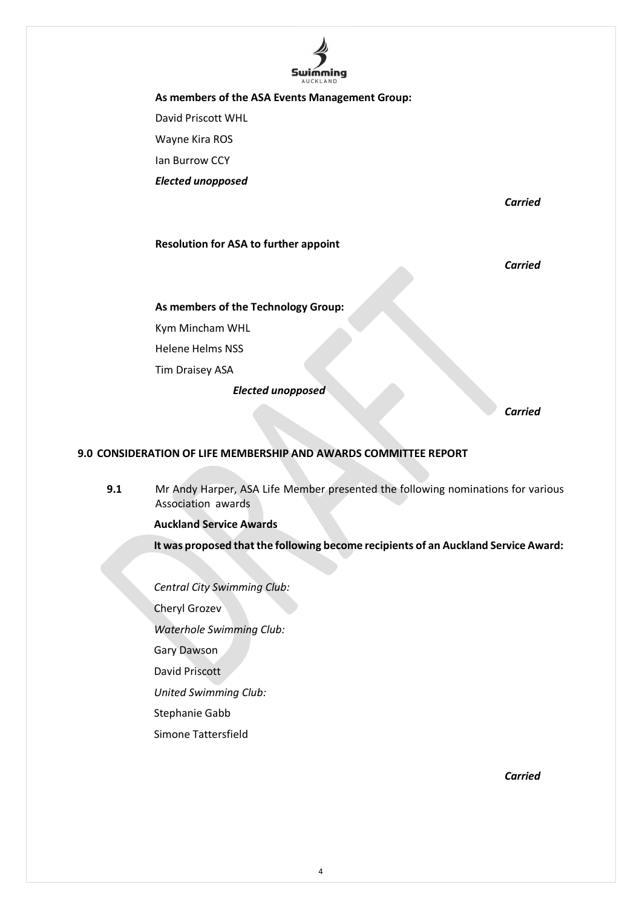

**As members of the ASA Events Management Group:** David Priscott WHL Wayne Kira ROS Ian Burrow CCY *Elected unopposed*

*Carried*

#### **Resolution for ASA to further appoint**

*Carried*

**As members of the Technology Group:**

Kym Mincham WHL

Helene Helms NSS

Tim Draisey ASA

*Elected unopposed*

*Carried*

#### **9.0 CONSIDERATION OF LIFE MEMBERSHIP AND AWARDS COMMITTEE REPORT**

**9.1** Mr Andy Harper, ASA Life Member presented the following nominations for various Association awards

**Auckland Service Awards**

**It was proposed that the following become recipients of an Auckland Service Award:**

*Central City Swimming Club:*

Cheryl Grozev

*Waterhole Swimming Club:*

Gary Dawson

David Priscott

*United Swimming Club:*

Stephanie Gabb

Simone Tattersfield

*Carried*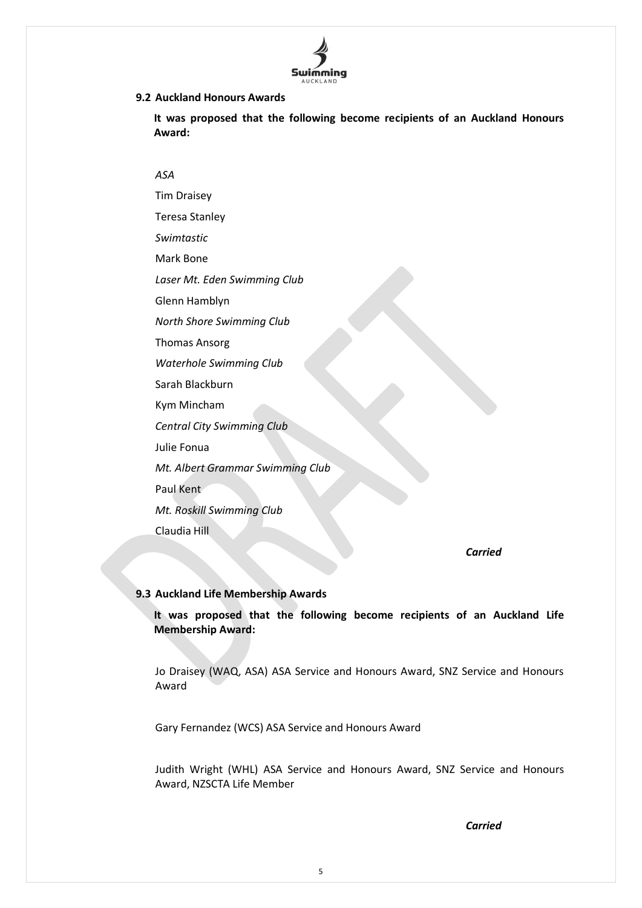

#### **9.2 Auckland Honours Awards**

**It was proposed that the following become recipients of an Auckland Honours Award:**

#### *ASA*

Tim Draisey Teresa Stanley *Swimtastic* Mark Bone *Laser Mt. Eden Swimming Club* Glenn Hamblyn *North Shore Swimming Club* Thomas Ansorg *Waterhole Swimming Club* Sarah Blackburn Kym Mincham *Central City Swimming Club* Julie Fonua *Mt. Albert Grammar Swimming Club* Paul Kent *Mt. Roskill Swimming Club* Claudia Hill

*Carried*

#### **9.3 Auckland Life Membership Awards**

**It was proposed that the following become recipients of an Auckland Life Membership Award:**

Jo Draisey (WAQ, ASA) ASA Service and Honours Award, SNZ Service and Honours Award

Gary Fernandez (WCS) ASA Service and Honours Award

Judith Wright (WHL) ASA Service and Honours Award, SNZ Service and Honours Award, NZSCTA Life Member

*Carried*